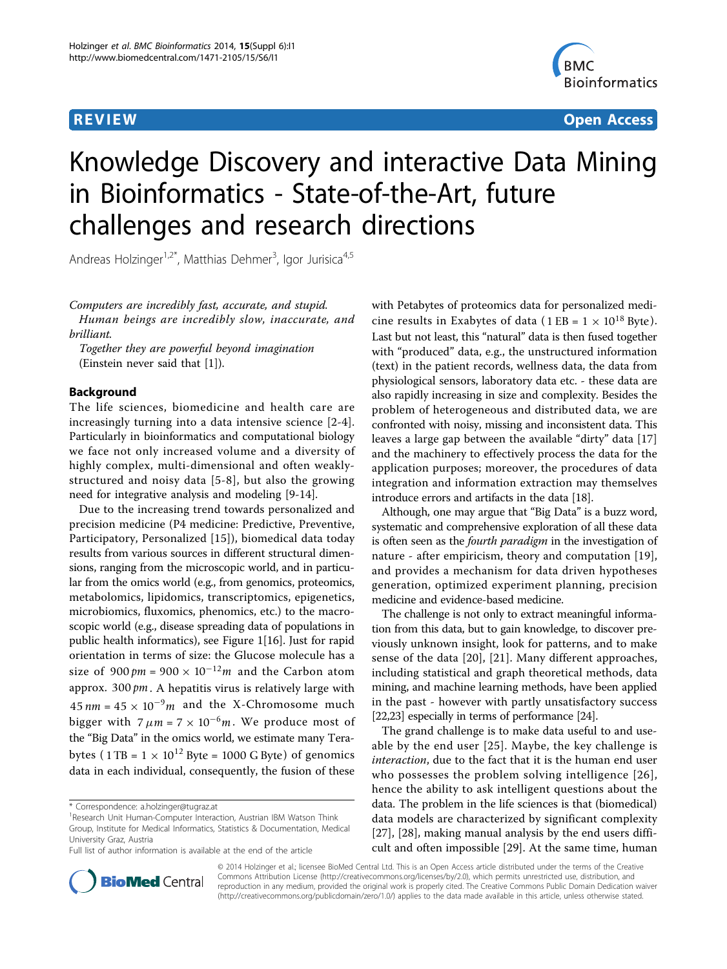

**REVIEW CONSTRUCTION CONSTRUCTION CONSTRUCTS** 

# Knowledge Discovery and interactive Data Mining in Bioinformatics - State-of-the-Art, future challenges and research directions

Andreas Holzinger<sup>1,2\*</sup>, Matthias Dehmer<sup>3</sup>, Igor Jurisica<sup>4,5</sup>

Computers are incredibly fast, accurate, and stupid. Human beings are incredibly slow, inaccurate, and brilliant.

Together they are powerful beyond imagination (Einstein never said that [[1\]](#page-5-0)).

#### Background

The life sciences, biomedicine and health care are increasingly turning into a data intensive science [\[2](#page-5-0)-[4](#page-5-0)]. Particularly in bioinformatics and computational biology we face not only increased volume and a diversity of highly complex, multi-dimensional and often weaklystructured and noisy data [[5](#page-5-0)[-8](#page-6-0)], but also the growing need for integrative analysis and modeling [[9-14](#page-6-0)].

Due to the increasing trend towards personalized and precision medicine (P4 medicine: Predictive, Preventive, Participatory, Personalized [[15\]](#page-6-0)), biomedical data today results from various sources in different structural dimensions, ranging from the microscopic world, and in particular from the omics world (e.g., from genomics, proteomics, metabolomics, lipidomics, transcriptomics, epigenetics, microbiomics, fluxomics, phenomics, etc.) to the macroscopic world (e.g., disease spreading data of populations in public health informatics), see Figure [1\[](#page-1-0)[16\]](#page-6-0). Just for rapid orientation in terms of size: the Glucose molecule has a size of  $900 \text{ pm} = 900 \times 10^{-12} \text{m}$  and the Carbon atom approx. 300 *pm* . A hepatitis virus is relatively large with  $45$  *nm* =  $45 \times 10^{-9}$ *m* and the X-Chromosome much bigger with  $7 \mu m = 7 \times 10^{-6} m$ . We produce most of the "Big Data" in the omics world, we estimate many Terabytes (  $1 \text{ TB} = 1 \times 10^{12} \text{ B}$ yte = 1000 G Byte) of genomics data in each individual, consequently, the fusion of these with Petabytes of proteomics data for personalized medicine results in Exabytes of data (1 EB =  $1 \times 10^{18}$  Byte). Last but not least, this "natural" data is then fused together with "produced" data, e.g., the unstructured information (text) in the patient records, wellness data, the data from physiological sensors, laboratory data etc. - these data are also rapidly increasing in size and complexity. Besides the problem of heterogeneous and distributed data, we are confronted with noisy, missing and inconsistent data. This leaves a large gap between the available "dirty" data [\[17](#page-6-0)] and the machinery to effectively process the data for the application purposes; moreover, the procedures of data integration and information extraction may themselves introduce errors and artifacts in the data [[18](#page-6-0)].

Although, one may argue that "Big Data" is a buzz word, systematic and comprehensive exploration of all these data is often seen as the *fourth paradigm* in the investigation of nature - after empiricism, theory and computation [[19](#page-6-0)], and provides a mechanism for data driven hypotheses generation, optimized experiment planning, precision medicine and evidence-based medicine.

The challenge is not only to extract meaningful information from this data, but to gain knowledge, to discover previously unknown insight, look for patterns, and to make sense of the data [\[20](#page-6-0)], [\[21](#page-6-0)]. Many different approaches, including statistical and graph theoretical methods, data mining, and machine learning methods, have been applied in the past - however with partly unsatisfactory success [[22,23\]](#page-6-0) especially in terms of performance [[24](#page-6-0)].

The grand challenge is to make data useful to and useable by the end user [[25](#page-6-0)]. Maybe, the key challenge is interaction, due to the fact that it is the human end user who possesses the problem solving intelligence [[26\]](#page-6-0), hence the ability to ask intelligent questions about the data. The problem in the life sciences is that (biomedical) data models are characterized by significant complexity [[27\]](#page-6-0), [\[28](#page-6-0)], making manual analysis by the end users difficult and often impossible [\[29](#page-6-0)]. At the same time, human



© 2014 Holzinger et al.; licensee BioMed Central Ltd. This is an Open Access article distributed under the terms of the Creative Commons Attribution License [\(http://creativecommons.org/licenses/by/2.0](http://creativecommons.org/licenses/by/2.0)), which permits unrestricted use, distribution, and reproduction in any medium, provided the original work is properly cited. The Creative Commons Public Domain Dedication waiver [\(http://creativecommons.org/publicdomain/zero/1.0/](http://creativecommons.org/publicdomain/zero/1.0/)) applies to the data made available in this article, unless otherwise stated.

<sup>\*</sup> Correspondence: [a.holzinger@tugraz.at](mailto:a.holzinger@tugraz.at)

<sup>&</sup>lt;sup>1</sup> Research Unit Human-Computer Interaction, Austrian IBM Watson Think Group, Institute for Medical Informatics, Statistics & Documentation, Medical University Graz, Austria

Full list of author information is available at the end of the article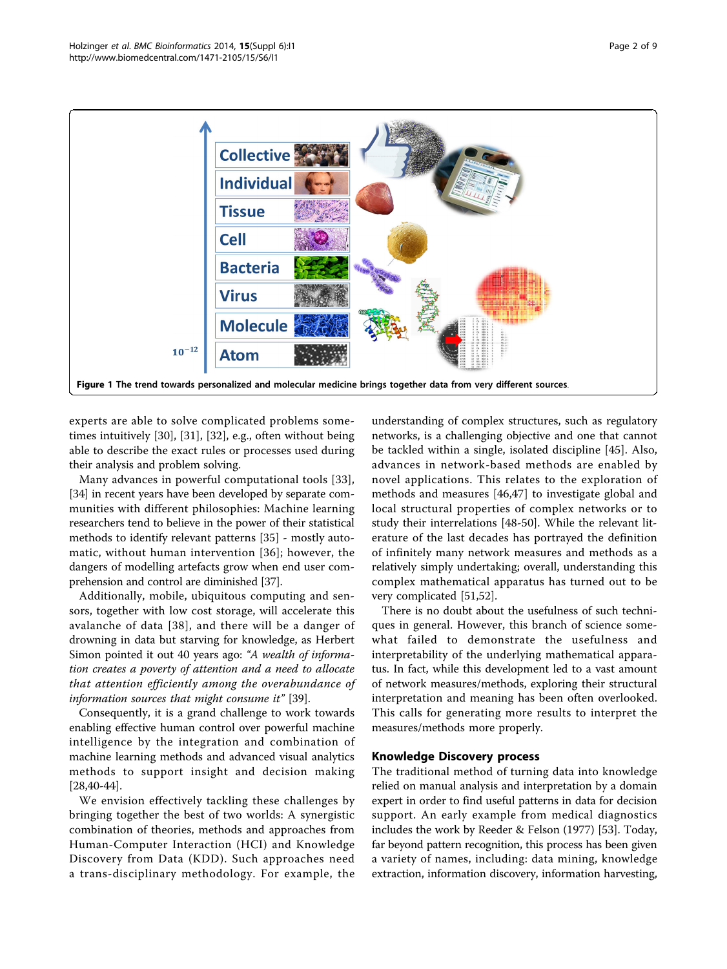<span id="page-1-0"></span>

experts are able to solve complicated problems sometimes intuitively [\[30](#page-6-0)], [[31\]](#page-6-0), [\[32](#page-6-0)], e.g., often without being able to describe the exact rules or processes used during their analysis and problem solving.

Many advances in powerful computational tools [[33](#page-6-0)], [[34](#page-6-0)] in recent years have been developed by separate communities with different philosophies: Machine learning researchers tend to believe in the power of their statistical methods to identify relevant patterns [[35\]](#page-6-0) - mostly automatic, without human intervention [[36](#page-6-0)]; however, the dangers of modelling artefacts grow when end user comprehension and control are diminished [[37](#page-6-0)].

Additionally, mobile, ubiquitous computing and sensors, together with low cost storage, will accelerate this avalanche of data [[38\]](#page-6-0), and there will be a danger of drowning in data but starving for knowledge, as Herbert Simon pointed it out 40 years ago: "A wealth of information creates a poverty of attention and a need to allocate that attention efficiently among the overabundance of information sources that might consume it" [\[39](#page-6-0)].

Consequently, it is a grand challenge to work towards enabling effective human control over powerful machine intelligence by the integration and combination of machine learning methods and advanced visual analytics methods to support insight and decision making [[28,40-44\]](#page-6-0).

We envision effectively tackling these challenges by bringing together the best of two worlds: A synergistic combination of theories, methods and approaches from Human-Computer Interaction (HCI) and Knowledge Discovery from Data (KDD). Such approaches need a trans-disciplinary methodology. For example, the

understanding of complex structures, such as regulatory networks, is a challenging objective and one that cannot be tackled within a single, isolated discipline [[45\]](#page-6-0). Also, advances in network-based methods are enabled by novel applications. This relates to the exploration of methods and measures [\[46](#page-6-0),[47\]](#page-6-0) to investigate global and local structural properties of complex networks or to study their interrelations [[48-50](#page-6-0)]. While the relevant literature of the last decades has portrayed the definition of infinitely many network measures and methods as a relatively simply undertaking; overall, understanding this complex mathematical apparatus has turned out to be very complicated [[51,52](#page-6-0)].

There is no doubt about the usefulness of such techniques in general. However, this branch of science somewhat failed to demonstrate the usefulness and interpretability of the underlying mathematical apparatus. In fact, while this development led to a vast amount of network measures/methods, exploring their structural interpretation and meaning has been often overlooked. This calls for generating more results to interpret the measures/methods more properly.

#### Knowledge Discovery process

The traditional method of turning data into knowledge relied on manual analysis and interpretation by a domain expert in order to find useful patterns in data for decision support. An early example from medical diagnostics includes the work by Reeder & Felson (1977) [\[53\]](#page-6-0). Today, far beyond pattern recognition, this process has been given a variety of names, including: data mining, knowledge extraction, information discovery, information harvesting,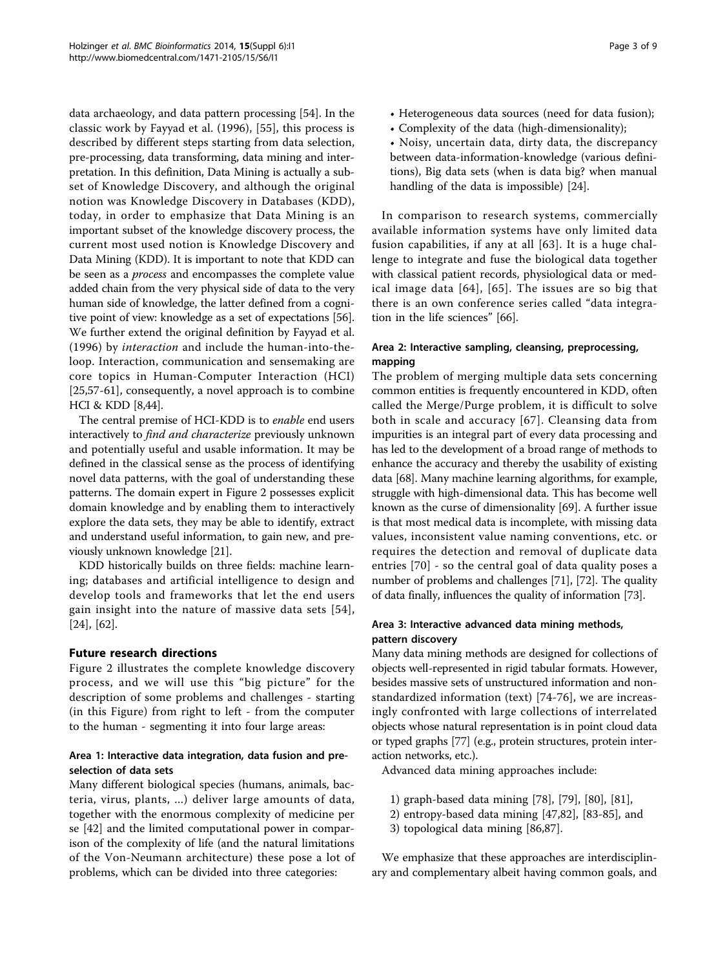data archaeology, and data pattern processing [\[54](#page-6-0)]. In the classic work by Fayyad et al. (1996), [[55](#page-6-0)], this process is described by different steps starting from data selection, pre-processing, data transforming, data mining and interpretation. In this definition, Data Mining is actually a subset of Knowledge Discovery, and although the original notion was Knowledge Discovery in Databases (KDD), today, in order to emphasize that Data Mining is an important subset of the knowledge discovery process, the current most used notion is Knowledge Discovery and Data Mining (KDD). It is important to note that KDD can be seen as a process and encompasses the complete value added chain from the very physical side of data to the very human side of knowledge, the latter defined from a cognitive point of view: knowledge as a set of expectations [[56](#page-7-0)]. We further extend the original definition by Fayyad et al. (1996) by interaction and include the human-into-theloop. Interaction, communication and sensemaking are core topics in Human-Computer Interaction (HCI) [[25,](#page-6-0)[57-61\]](#page-7-0), consequently, a novel approach is to combine HCI & KDD [\[8,44\]](#page-6-0).

The central premise of HCI-KDD is to enable end users interactively to find and characterize previously unknown and potentially useful and usable information. It may be defined in the classical sense as the process of identifying novel data patterns, with the goal of understanding these patterns. The domain expert in Figure [2](#page-3-0) possesses explicit domain knowledge and by enabling them to interactively explore the data sets, they may be able to identify, extract and understand useful information, to gain new, and previously unknown knowledge [\[21\]](#page-6-0).

KDD historically builds on three fields: machine learning; databases and artificial intelligence to design and develop tools and frameworks that let the end users gain insight into the nature of massive data sets [[54\]](#page-6-0), [[24\]](#page-6-0), [\[62](#page-7-0)].

## Future research directions

Figure [2](#page-3-0) illustrates the complete knowledge discovery process, and we will use this "big picture" for the description of some problems and challenges - starting (in this Figure) from right to left - from the computer to the human - segmenting it into four large areas:

# Area 1: Interactive data integration, data fusion and preselection of data sets

Many different biological species (humans, animals, bacteria, virus, plants, ...) deliver large amounts of data, together with the enormous complexity of medicine per se [\[42](#page-6-0)] and the limited computational power in comparison of the complexity of life (and the natural limitations of the Von-Neumann architecture) these pose a lot of problems, which can be divided into three categories:

- Heterogeneous data sources (need for data fusion);
- Complexity of the data (high-dimensionality);
- Noisy, uncertain data, dirty data, the discrepancy between data-information-knowledge (various definitions), Big data sets (when is data big? when manual handling of the data is impossible) [\[24\]](#page-6-0).

In comparison to research systems, commercially available information systems have only limited data fusion capabilities, if any at all [[63\]](#page-7-0). It is a huge challenge to integrate and fuse the biological data together with classical patient records, physiological data or medical image data [[64\]](#page-7-0), [[65\]](#page-7-0). The issues are so big that there is an own conference series called "data integration in the life sciences" [[66\]](#page-7-0).

# Area 2: Interactive sampling, cleansing, preprocessing, mapping

The problem of merging multiple data sets concerning common entities is frequently encountered in KDD, often called the Merge/Purge problem, it is difficult to solve both in scale and accuracy [[67\]](#page-7-0). Cleansing data from impurities is an integral part of every data processing and has led to the development of a broad range of methods to enhance the accuracy and thereby the usability of existing data [\[68\]](#page-7-0). Many machine learning algorithms, for example, struggle with high-dimensional data. This has become well known as the curse of dimensionality [[69](#page-7-0)]. A further issue is that most medical data is incomplete, with missing data values, inconsistent value naming conventions, etc. or requires the detection and removal of duplicate data entries [[70\]](#page-7-0) - so the central goal of data quality poses a number of problems and challenges [\[71](#page-7-0)], [\[72\]](#page-7-0). The quality of data finally, influences the quality of information [\[73\]](#page-7-0).

# Area 3: Interactive advanced data mining methods, pattern discovery

Many data mining methods are designed for collections of objects well-represented in rigid tabular formats. However, besides massive sets of unstructured information and nonstandardized information (text) [[74-76\]](#page-7-0), we are increasingly confronted with large collections of interrelated objects whose natural representation is in point cloud data or typed graphs [[77](#page-7-0)] (e.g., protein structures, protein interaction networks, etc.).

Advanced data mining approaches include:

- 1) graph-based data mining [\[78\]](#page-7-0), [[79](#page-7-0)], [\[80\]](#page-7-0), [[81](#page-7-0)],
- 2) entropy-based data mining [\[47](#page-6-0)[,82\]](#page-7-0), [[83](#page-7-0)-[85\]](#page-7-0), and
- 3) topological data mining [\[86,87\]](#page-7-0).

We emphasize that these approaches are interdisciplinary and complementary albeit having common goals, and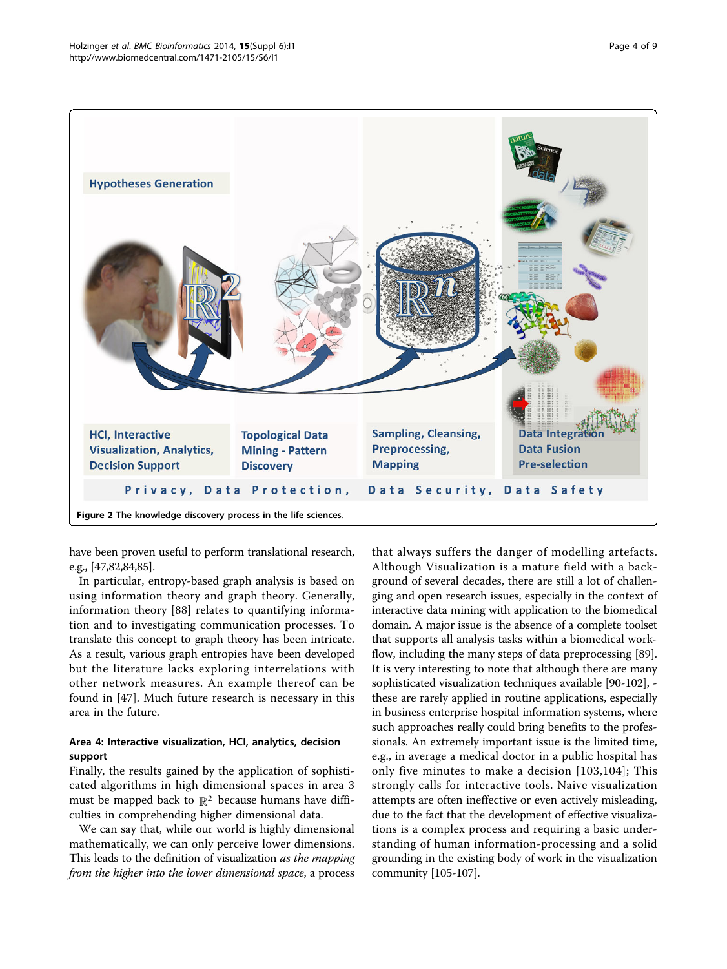<span id="page-3-0"></span>

have been proven useful to perform translational research, e.g., [\[47](#page-6-0)[,82,84,85\]](#page-7-0).

In particular, entropy-based graph analysis is based on using information theory and graph theory. Generally, information theory [[88\]](#page-7-0) relates to quantifying information and to investigating communication processes. To translate this concept to graph theory has been intricate. As a result, various graph entropies have been developed but the literature lacks exploring interrelations with other network measures. An example thereof can be found in [[47\]](#page-6-0). Much future research is necessary in this area in the future.

# Area 4: Interactive visualization, HCI, analytics, decision support

Finally, the results gained by the application of sophisticated algorithms in high dimensional spaces in area 3 must be mapped back to  $\mathbb{R}^2$  because humans have difficulties in comprehending higher dimensional data.

We can say that, while our world is highly dimensional mathematically, we can only perceive lower dimensions. This leads to the definition of visualization as the mapping from the higher into the lower dimensional space, a process

that always suffers the danger of modelling artefacts. Although Visualization is a mature field with a background of several decades, there are still a lot of challenging and open research issues, especially in the context of interactive data mining with application to the biomedical domain. A major issue is the absence of a complete toolset that supports all analysis tasks within a biomedical workflow, including the many steps of data preprocessing [[89](#page-7-0)]. It is very interesting to note that although there are many sophisticated visualization techniques available [\[90](#page-7-0)[-102\]](#page-8-0), these are rarely applied in routine applications, especially in business enterprise hospital information systems, where such approaches really could bring benefits to the professionals. An extremely important issue is the limited time, e.g., in average a medical doctor in a public hospital has only five minutes to make a decision [[103](#page-8-0),[104\]](#page-8-0); This strongly calls for interactive tools. Naive visualization attempts are often ineffective or even actively misleading, due to the fact that the development of effective visualizations is a complex process and requiring a basic understanding of human information-processing and a solid grounding in the existing body of work in the visualization community [\[105](#page-8-0)-[107](#page-8-0)].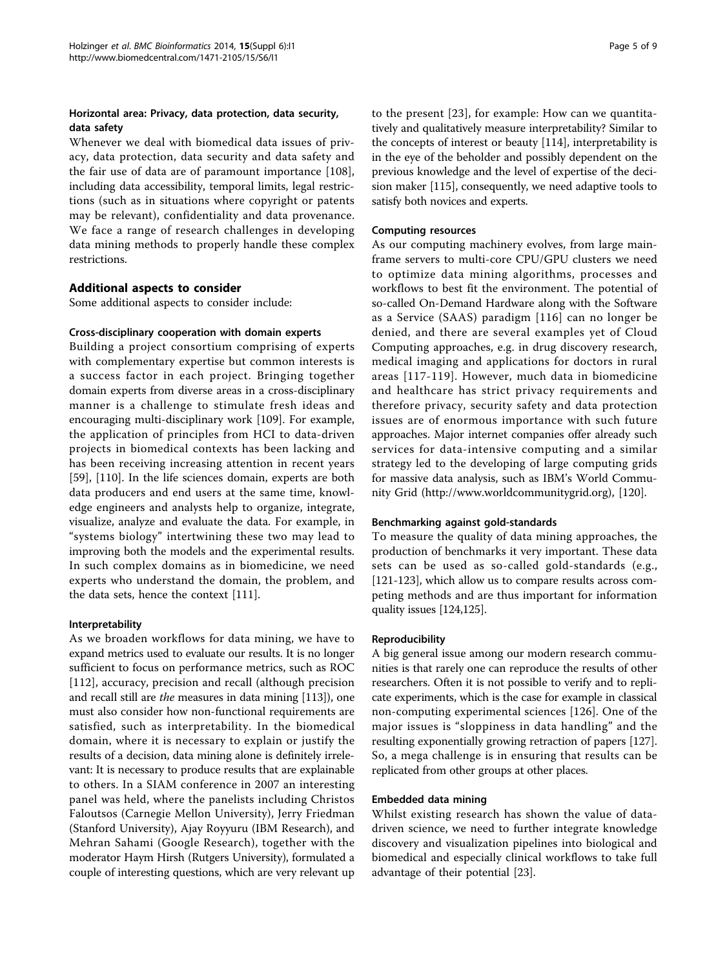# Horizontal area: Privacy, data protection, data security, data safety

Whenever we deal with biomedical data issues of privacy, data protection, data security and data safety and the fair use of data are of paramount importance [\[108](#page-8-0)], including data accessibility, temporal limits, legal restrictions (such as in situations where copyright or patents may be relevant), confidentiality and data provenance. We face a range of research challenges in developing data mining methods to properly handle these complex restrictions.

# Additional aspects to consider

Some additional aspects to consider include:

## Cross-disciplinary cooperation with domain experts

Building a project consortium comprising of experts with complementary expertise but common interests is a success factor in each project. Bringing together domain experts from diverse areas in a cross-disciplinary manner is a challenge to stimulate fresh ideas and encouraging multi-disciplinary work [[109](#page-8-0)]. For example, the application of principles from HCI to data-driven projects in biomedical contexts has been lacking and has been receiving increasing attention in recent years [[59\]](#page-7-0), [[110\]](#page-8-0). In the life sciences domain, experts are both data producers and end users at the same time, knowledge engineers and analysts help to organize, integrate, visualize, analyze and evaluate the data. For example, in "systems biology" intertwining these two may lead to improving both the models and the experimental results. In such complex domains as in biomedicine, we need experts who understand the domain, the problem, and the data sets, hence the context [\[111](#page-8-0)].

## Interpretability

As we broaden workflows for data mining, we have to expand metrics used to evaluate our results. It is no longer sufficient to focus on performance metrics, such as ROC [[112\]](#page-8-0), accuracy, precision and recall (although precision and recall still are the measures in data mining [\[113\]](#page-8-0)), one must also consider how non-functional requirements are satisfied, such as interpretability. In the biomedical domain, where it is necessary to explain or justify the results of a decision, data mining alone is definitely irrelevant: It is necessary to produce results that are explainable to others. In a SIAM conference in 2007 an interesting panel was held, where the panelists including Christos Faloutsos (Carnegie Mellon University), Jerry Friedman (Stanford University), Ajay Royyuru (IBM Research), and Mehran Sahami (Google Research), together with the moderator Haym Hirsh (Rutgers University), formulated a couple of interesting questions, which are very relevant up

to the present [\[23](#page-6-0)], for example: How can we quantitatively and qualitatively measure interpretability? Similar to the concepts of interest or beauty [[114](#page-8-0)], interpretability is in the eye of the beholder and possibly dependent on the previous knowledge and the level of expertise of the decision maker [\[115](#page-8-0)], consequently, we need adaptive tools to satisfy both novices and experts.

#### Computing resources

As our computing machinery evolves, from large mainframe servers to multi-core CPU/GPU clusters we need to optimize data mining algorithms, processes and workflows to best fit the environment. The potential of so-called On-Demand Hardware along with the Software as a Service (SAAS) paradigm [[116\]](#page-8-0) can no longer be denied, and there are several examples yet of Cloud Computing approaches, e.g. in drug discovery research, medical imaging and applications for doctors in rural areas [[117-119](#page-8-0)]. However, much data in biomedicine and healthcare has strict privacy requirements and therefore privacy, security safety and data protection issues are of enormous importance with such future approaches. Major internet companies offer already such services for data-intensive computing and a similar strategy led to the developing of large computing grids for massive data analysis, such as IBM's World Community Grid [\(http://www.worldcommunitygrid.org](http://www.worldcommunitygrid.org)), [\[120\]](#page-8-0).

## Benchmarking against gold-standards

To measure the quality of data mining approaches, the production of benchmarks it very important. These data sets can be used as so-called gold-standards (e.g., [[121-123\]](#page-8-0), which allow us to compare results across competing methods and are thus important for information quality issues [\[124,125\]](#page-8-0).

#### Reproducibility

A big general issue among our modern research communities is that rarely one can reproduce the results of other researchers. Often it is not possible to verify and to replicate experiments, which is the case for example in classical non-computing experimental sciences [[126](#page-8-0)]. One of the major issues is "sloppiness in data handling" and the resulting exponentially growing retraction of papers [[127](#page-8-0)]. So, a mega challenge is in ensuring that results can be replicated from other groups at other places.

#### Embedded data mining

Whilst existing research has shown the value of datadriven science, we need to further integrate knowledge discovery and visualization pipelines into biological and biomedical and especially clinical workflows to take full advantage of their potential [[23\]](#page-6-0).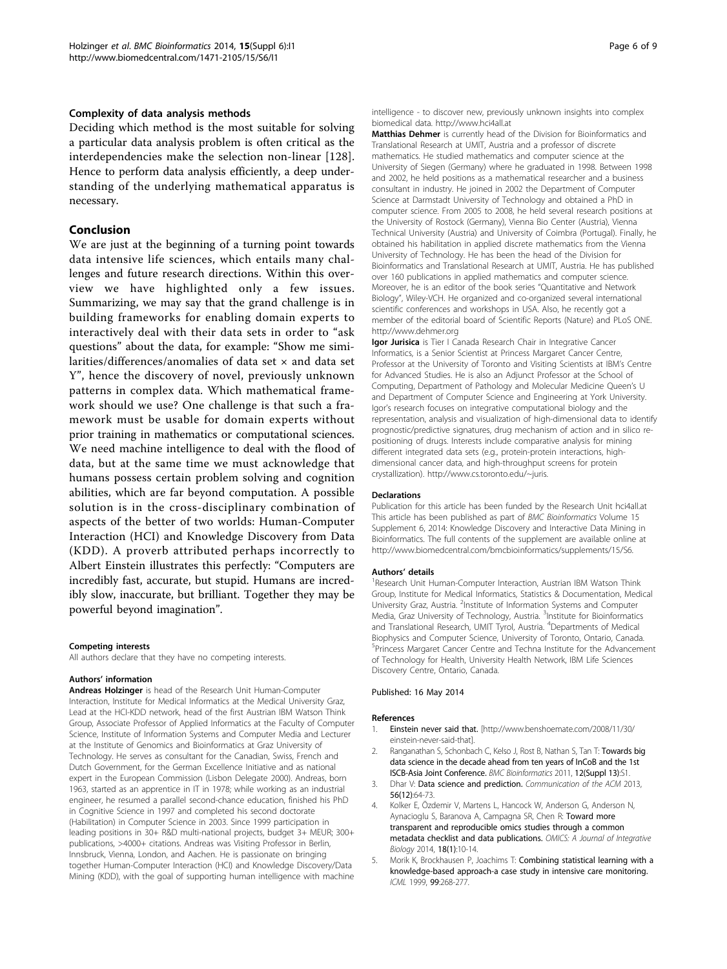#### <span id="page-5-0"></span>Complexity of data analysis methods

Deciding which method is the most suitable for solving a particular data analysis problem is often critical as the interdependencies make the selection non-linear [[128](#page-8-0)]. Hence to perform data analysis efficiently, a deep understanding of the underlying mathematical apparatus is necessary.

#### Conclusion

We are just at the beginning of a turning point towards data intensive life sciences, which entails many challenges and future research directions. Within this overview we have highlighted only a few issues. Summarizing, we may say that the grand challenge is in building frameworks for enabling domain experts to interactively deal with their data sets in order to "ask questions" about the data, for example: "Show me similarities/differences/anomalies of data set  $\times$  and data set Y", hence the discovery of novel, previously unknown patterns in complex data. Which mathematical framework should we use? One challenge is that such a framework must be usable for domain experts without prior training in mathematics or computational sciences. We need machine intelligence to deal with the flood of data, but at the same time we must acknowledge that humans possess certain problem solving and cognition abilities, which are far beyond computation. A possible solution is in the cross-disciplinary combination of aspects of the better of two worlds: Human-Computer Interaction (HCI) and Knowledge Discovery from Data (KDD). A proverb attributed perhaps incorrectly to Albert Einstein illustrates this perfectly: "Computers are incredibly fast, accurate, but stupid. Humans are incredibly slow, inaccurate, but brilliant. Together they may be powerful beyond imagination".

#### Competing interests

All authors declare that they have no competing interests.

#### Authors' information

Andreas Holzinger is head of the Research Unit Human-Computer Interaction, Institute for Medical Informatics at the Medical University Graz, Lead at the HCI-KDD network, head of the first Austrian IBM Watson Think Group, Associate Professor of Applied Informatics at the Faculty of Computer Science, Institute of Information Systems and Computer Media and Lecturer at the Institute of Genomics and Bioinformatics at Graz University of Technology. He serves as consultant for the Canadian, Swiss, French and Dutch Government, for the German Excellence Initiative and as national expert in the European Commission (Lisbon Delegate 2000). Andreas, born 1963, started as an apprentice in IT in 1978; while working as an industrial engineer, he resumed a parallel second-chance education, finished his PhD in Cognitive Science in 1997 and completed his second doctorate (Habilitation) in Computer Science in 2003. Since 1999 participation in leading positions in 30+ R&D multi-national projects, budget 3+ MEUR; 300+ publications, >4000+ citations. Andreas was Visiting Professor in Berlin, Innsbruck, Vienna, London, and Aachen. He is passionate on bringing together Human-Computer Interaction (HCI) and Knowledge Discovery/Data Mining (KDD), with the goal of supporting human intelligence with machine intelligence - to discover new, previously unknown insights into complex biomedical data.<http://www.hci4all.at>

Matthias Dehmer is currently head of the Division for Bioinformatics and Translational Research at UMIT, Austria and a professor of discrete mathematics. He studied mathematics and computer science at the University of Siegen (Germany) where he graduated in 1998. Between 1998 and 2002, he held positions as a mathematical researcher and a business consultant in industry. He joined in 2002 the Department of Computer Science at Darmstadt University of Technology and obtained a PhD in computer science. From 2005 to 2008, he held several research positions at the University of Rostock (Germany), Vienna Bio Center (Austria), Vienna Technical University (Austria) and University of Coimbra (Portugal). Finally, he obtained his habilitation in applied discrete mathematics from the Vienna University of Technology. He has been the head of the Division for Bioinformatics and Translational Research at UMIT, Austria. He has published over 160 publications in applied mathematics and computer science. Moreover, he is an editor of the book series "Quantitative and Network Biology", Wiley-VCH. He organized and co-organized several international scientific conferences and workshops in USA. Also, he recently got a member of the editorial board of Scientific Reports (Nature) and PLoS ONE. <http://www.dehmer.org>

Igor Jurisica is Tier I Canada Research Chair in Integrative Cancer Informatics, is a Senior Scientist at Princess Margaret Cancer Centre, Professor at the University of Toronto and Visiting Scientists at IBM's Centre for Advanced Studies. He is also an Adjunct Professor at the School of Computing, Department of Pathology and Molecular Medicine Queen's U and Department of Computer Science and Engineering at York University. Igor's research focuses on integrative computational biology and the representation, analysis and visualization of high-dimensional data to identify prognostic/predictive signatures, drug mechanism of action and in silico repositioning of drugs. Interests include comparative analysis for mining different integrated data sets (e.g., protein-protein interactions, highdimensional cancer data, and high-throughput screens for protein crystallization).<http://www.cs.toronto.edu/~juris>.

#### Declarations

Publication for this article has been funded by the Research Unit hci4all.at This article has been published as part of BMC Bioinformatics Volume 15 Supplement 6, 2014: Knowledge Discovery and Interactive Data Mining in Bioinformatics. The full contents of the supplement are available online at [http://www.biomedcentral.com/bmcbioinformatics/supplements/15/S6.](http://www.biomedcentral.com/bmcbioinformatics/supplements/15/S6)

#### Authors' details <sup>1</sup>

<sup>1</sup> Research Unit Human-Computer Interaction, Austrian IBM Watson Think Group, Institute for Medical Informatics, Statistics & Documentation, Medical University Graz, Austria. <sup>2</sup>Institute of Information Systems and Computer Media, Graz University of Technology, Austria. <sup>3</sup>Institute for Bioinformatics and Translational Research, UMIT Tyrol, Austria. <sup>4</sup>Departments of Medical Biophysics and Computer Science, University of Toronto, Ontario, Canada. <sup>5</sup>Princess Margaret Cancer Centre and Techna Institute for the Advancement of Technology for Health, University Health Network, IBM Life Sciences Discovery Centre, Ontario, Canada.

#### Published: 16 May 2014

#### References

- Einstein never said that. [\[http://www.benshoemate.com/2008/11/30/](http://www.benshoemate.com/2008/11/30/einstein-never-said-that) [einstein-never-said-that](http://www.benshoemate.com/2008/11/30/einstein-never-said-that)].
- 2. Ranganathan S, Schonbach C, Kelso J, Rost B, Nathan S, Tan T: Towards big data science in the decade ahead from ten years of InCoB and the 1st ISCB-Asia Joint Conference. BMC Bioinformatics 2011, 12(Suppl 13):S1.
- 3. Dhar V: Data science and prediction. Communication of the ACM 2013, 56(12):64-73.
- 4. Kolker E, Özdemir V, Martens L, Hancock W, Anderson G, Anderson N, Aynacioglu S, Baranova A, Campagna SR, Chen R: [Toward more](http://www.ncbi.nlm.nih.gov/pubmed/24456465?dopt=Abstract) [transparent and reproducible omics studies through a common](http://www.ncbi.nlm.nih.gov/pubmed/24456465?dopt=Abstract) [metadata checklist and data publications.](http://www.ncbi.nlm.nih.gov/pubmed/24456465?dopt=Abstract) OMICS: A Journal of Integrative Biology 2014, 18(1):10-14.
- 5. Morik K, Brockhausen P, Joachims T: Combining statistical learning with a knowledge-based approach-a case study in intensive care monitoring. ICML 1999, 99:268-277.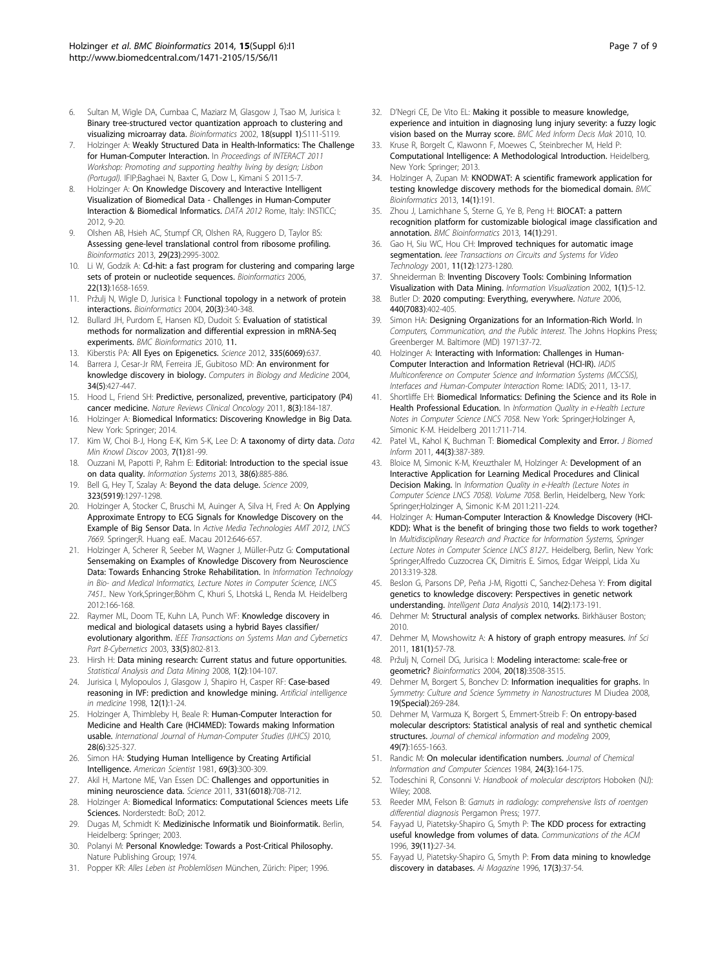- <span id="page-6-0"></span>6. Sultan M, Wigle DA, Cumbaa C, Maziarz M, Glasgow J, Tsao M, Jurisica I: [Binary tree-structured vector quantization approach to clustering and](http://www.ncbi.nlm.nih.gov/pubmed/12169538?dopt=Abstract) [visualizing microarray data.](http://www.ncbi.nlm.nih.gov/pubmed/12169538?dopt=Abstract) Bioinformatics 2002, 18(suppl 1):S111-S119.
- 7. Holzinger A: Weakly Structured Data in Health-Informatics: The Challenge for Human-Computer Interaction. In Proceedings of INTERACT 2011 Workshop: Promoting and supporting healthy living by design; Lisbon (Portugal). IFIP;Baghaei N, Baxter G, Dow L, Kimani S 2011:5-7.
- Holzinger A: On Knowledge Discovery and Interactive Intelligent Visualization of Biomedical Data - Challenges in Human-Computer Interaction & Biomedical Informatics. DATA 2012 Rome, Italy: INSTICC; 2012, 9-20.
- 9. Olshen AB, Hsieh AC, Stumpf CR, Olshen RA, Ruggero D, Taylor BS: [Assessing gene-level translational control from ribosome profiling.](http://www.ncbi.nlm.nih.gov/pubmed/24048356?dopt=Abstract) Bioinformatics 2013, 29(23):2995-3002.
- 10. Li W, Godzik A: [Cd-hit: a fast program for clustering and comparing large](http://www.ncbi.nlm.nih.gov/pubmed/16731699?dopt=Abstract) [sets of protein or nucleotide sequences.](http://www.ncbi.nlm.nih.gov/pubmed/16731699?dopt=Abstract) Bioinformatics 2006, 22(13):1658-1659.
- 11. Pržulj N, Wigle D, Jurisica I: [Functional topology in a network of protein](http://www.ncbi.nlm.nih.gov/pubmed/14960460?dopt=Abstract) [interactions.](http://www.ncbi.nlm.nih.gov/pubmed/14960460?dopt=Abstract) Bioinformatics 2004, 20(3):340-348.
- 12. Bullard JH, Purdom E, Hansen KD, Dudoit S: [Evaluation of statistical](http://www.ncbi.nlm.nih.gov/pubmed/20167110?dopt=Abstract) [methods for normalization and differential expression in mRNA-Seq](http://www.ncbi.nlm.nih.gov/pubmed/20167110?dopt=Abstract) [experiments.](http://www.ncbi.nlm.nih.gov/pubmed/20167110?dopt=Abstract) BMC Bioinformatics 2010, 11.
- 13. Kiberstis PA: All Eyes on Epigenetics. Science 2012, 335(6069):637.
- 14. Barrera J, Cesar-Jr RM, Ferreira JE, Gubitoso MD: [An environment for](http://www.ncbi.nlm.nih.gov/pubmed/15145713?dopt=Abstract) [knowledge discovery in biology.](http://www.ncbi.nlm.nih.gov/pubmed/15145713?dopt=Abstract) Computers in Biology and Medicine 2004, 34(5):427-447.
- 15. Hood L, Friend SH: [Predictive, personalized, preventive, participatory \(P4\)](http://www.ncbi.nlm.nih.gov/pubmed/21364692?dopt=Abstract) [cancer medicine.](http://www.ncbi.nlm.nih.gov/pubmed/21364692?dopt=Abstract) Nature Reviews Clinical Oncology 2011, 8(3):184-187.
- 16. Holzinger A: Biomedical Informatics: Discovering Knowledge in Big Data. New York: Springer; 2014.
- 17. Kim W, Choi B-J, Hong E-K, Kim S-K, Lee D: A taxonomy of dirty data. Data Min Knowl Discov 2003, 7(1):81-99.
- 18. Ouzzani M, Papotti P, Rahm E: Editorial: Introduction to the special issue on data quality. Information Systems 2013, 38(6):885-886.
- 19. Bell G, Hey T, Szalay A: [Beyond the data deluge.](http://www.ncbi.nlm.nih.gov/pubmed/19265007?dopt=Abstract) Science 2009, 323(5919):1297-1298.
- 20. Holzinger A, Stocker C, Bruschi M, Auinger A, Silva H, Fred A: On Applying Approximate Entropy to ECG Signals for Knowledge Discovery on the Example of Big Sensor Data. In Active Media Technologies AMT 2012, LNCS 7669. Springer;R. Huang eaE. Macau 2012:646-657.
- 21. Holzinger A, Scherer R, Seeber M, Wagner J, Müller-Putz G: Computational Sensemaking on Examples of Knowledge Discovery from Neuroscience Data: Towards Enhancing Stroke Rehabilitation. In Information Technology in Bio- and Medical Informatics, Lecture Notes in Computer Science, LNCS 7451.. New York,Springer;Böhm C, Khuri S, Lhotská L, Renda M. Heidelberg 2012:166-168.
- 22. Raymer ML, Doom TE, Kuhn LA, Punch WF: [Knowledge discovery in](http://www.ncbi.nlm.nih.gov/pubmed/18238233?dopt=Abstract) [medical and biological datasets using a hybrid Bayes classifier/](http://www.ncbi.nlm.nih.gov/pubmed/18238233?dopt=Abstract) [evolutionary algorithm.](http://www.ncbi.nlm.nih.gov/pubmed/18238233?dopt=Abstract) IEEE Transactions on Systems Man and Cybernetics Part B-Cybernetics 2003, 33(5):802-813.
- 23. Hirsh H: Data mining research: Current status and future opportunities. Statistical Analysis and Data Mining 2008, 1(2):104-107.
- 24. Jurisica I, Mylopoulos J, Glasgow J, Shapiro H, Casper RF: [Case-based](http://www.ncbi.nlm.nih.gov/pubmed/9475949?dopt=Abstract) [reasoning in IVF: prediction and knowledge mining.](http://www.ncbi.nlm.nih.gov/pubmed/9475949?dopt=Abstract) Artificial intelligence in medicine 1998, 12(1):1-24.
- 25. Holzinger A, Thimbleby H, Beale R: Human-Computer Interaction for Medicine and Health Care (HCI4MED): Towards making Information usable. International Journal of Human-Computer Studies (IJHCS) 2010, 28(6):325-327.
- 26. Simon HA: [Studying Human Intelligence by Creating Artificial](http://www.ncbi.nlm.nih.gov/pubmed/7235350?dopt=Abstract) [Intelligence.](http://www.ncbi.nlm.nih.gov/pubmed/7235350?dopt=Abstract) American Scientist 1981, 69(3):300-309.
- 27. Akil H, Martone ME, Van Essen DC: [Challenges and opportunities in](http://www.ncbi.nlm.nih.gov/pubmed/21311009?dopt=Abstract) [mining neuroscience data.](http://www.ncbi.nlm.nih.gov/pubmed/21311009?dopt=Abstract) Science 2011, 331(6018):708-712.
- 28. Holzinger A: Biomedical Informatics: Computational Sciences meets Life Sciences. Norderstedt: BoD; 2012.
- 29. Dugas M, Schmidt K: Medizinische Informatik und Bioinformatik. Berlin, Heidelberg: Springer; 2003.
- 30. Polanyi M: Personal Knowledge: Towards a Post-Critical Philosophy. Nature Publishing Group; 1974.
- 31. Popper KR: Alles Leben ist Problemlösen München, Zürich: Piper; 1996.
- 32. D'Negri CE, De Vito EL: [Making it possible to measure knowledge,](http://www.ncbi.nlm.nih.gov/pubmed/21050478?dopt=Abstract) [experience and intuition in diagnosing lung injury severity: a fuzzy logic](http://www.ncbi.nlm.nih.gov/pubmed/21050478?dopt=Abstract) [vision based on the Murray score.](http://www.ncbi.nlm.nih.gov/pubmed/21050478?dopt=Abstract) BMC Med Inform Decis Mak 2010, 10.
- 33. Kruse R, Borgelt C, Klawonn F, Moewes C, Steinbrecher M, Held P: Computational Intelligence: A Methodological Introduction. Heidelberg, New York: Springer; 2013.
- 34. Holzinger A, Zupan M: [KNODWAT: A scientific framework application for](http://www.ncbi.nlm.nih.gov/pubmed/23763826?dopt=Abstract) [testing knowledge discovery methods for the biomedical domain.](http://www.ncbi.nlm.nih.gov/pubmed/23763826?dopt=Abstract) BMC Bioinformatics 2013, 14(1):191.
- 35. Zhou J, Lamichhane S, Sterne G, Ye B, Peng H: [BIOCAT: a pattern](http://www.ncbi.nlm.nih.gov/pubmed/24090164?dopt=Abstract) [recognition platform for customizable biological image classification and](http://www.ncbi.nlm.nih.gov/pubmed/24090164?dopt=Abstract) [annotation.](http://www.ncbi.nlm.nih.gov/pubmed/24090164?dopt=Abstract) BMC Bioinformatics 2013, 14(1):291.
- 36. Gao H, Siu WC, Hou CH: Improved techniques for automatic image segmentation. leee Transactions on Circuits and Systems for Video Technology 2001, 11(12):1273-1280.
- 37. Shneiderman B: Inventing Discovery Tools: Combining Information Visualization with Data Mining. Information Visualization 2002, 1(1):5-12.
- 38. Butler D: [2020 computing: Everything, everywhere.](http://www.ncbi.nlm.nih.gov/pubmed/16554773?dopt=Abstract) Nature 2006, 440(7083):402-405.
- 39. Simon HA: Designing Organizations for an Information-Rich World. In Computers, Communication, and the Public Interest. The Johns Hopkins Press; Greenberger M. Baltimore (MD) 1971:37-72.
- 40. Holzinger A: Interacting with Information: Challenges in Human-Computer Interaction and Information Retrieval (HCI-IR). IADIS Multiconference on Computer Science and Information Systems (MCCSIS), Interfaces and Human-Computer Interaction Rome: IADIS; 2011, 13-17.
- 41. Shortliffe EH: Biomedical Informatics: Defining the Science and its Role in Health Professional Education. In Information Quality in e-Health Lecture Notes in Computer Science LNCS 7058. New York: Springer;Holzinger A, Simonic K-M. Heidelberg 2011:711-714.
- 42. Patel VL, Kahol K, Buchman T: [Biomedical Complexity and Error.](http://www.ncbi.nlm.nih.gov/pubmed/21554984?dopt=Abstract) J Biomed Inform 2011, 44(3):387-389.
- 43. Bloice M, Simonic K-M, Kreuzthaler M, Holzinger A: Development of an Interactive Application for Learning Medical Procedures and Clinical Decision Making. In Information Quality in e-Health (Lecture Notes in Computer Science LNCS 7058). Volume 7058. Berlin, Heidelberg, New York: Springer;Holzinger A, Simonic K-M 2011:211-224.
- 44. Holzinger A: Human-Computer Interaction & Knowledge Discovery (HCI-KDD): What is the benefit of bringing those two fields to work together? In Multidisciplinary Research and Practice for Information Systems, Springer Lecture Notes in Computer Science LNCS 8127.. Heidelberg, Berlin, New York: Springer;Alfredo Cuzzocrea CK, Dimitris E. Simos, Edgar Weippl, Lida Xu 2013:319-328.
- 45. Beslon G, Parsons DP, Peña J-M, Rigotti C, Sanchez-Dehesa Y: From digital genetics to knowledge discovery: Perspectives in genetic network understanding. Intelligent Data Analysis 2010, 14(2):173-191.
- Dehmer M: Structural analysis of complex networks. Birkhäuser Boston; 2010.
- 47. Dehmer M, Mowshowitz A: A history of graph entropy measures. Inf Sci 2011, 181(1):57-78.
- 48. Pržulj N, Corneil DG, Jurisica I: [Modeling interactome: scale-free or](http://www.ncbi.nlm.nih.gov/pubmed/15284103?dopt=Abstract) [geometric?](http://www.ncbi.nlm.nih.gov/pubmed/15284103?dopt=Abstract) Bioinformatics 2004, 20(18):3508-3515.
- Dehmer M, Borgert S, Bonchev D: Information inequalities for graphs. In Symmetry: Culture and Science Symmetry in Nanostructures M Diudea 2008, 19(Special):269-284.
- 50. Dehmer M, Varmuza K, Borgert S, Emmert-Streib F: [On entropy-based](http://www.ncbi.nlm.nih.gov/pubmed/19530677?dopt=Abstract) [molecular descriptors: Statistical analysis of real and synthetic chemical](http://www.ncbi.nlm.nih.gov/pubmed/19530677?dopt=Abstract) [structures.](http://www.ncbi.nlm.nih.gov/pubmed/19530677?dopt=Abstract) Journal of chemical information and modeling 2009, 49(7):1655-1663.
- 51. Randic M: On molecular identification numbers. Journal of Chemical Information and Computer Sciences 1984, 24(3):164-175.
- 52. Todeschini R, Consonni V: Handbook of molecular descriptors Hoboken (NJ): Wiley; 2008.
- 53. Reeder MM, Felson B: Gamuts in radiology: comprehensive lists of roentgen differential diagnosis Pergamon Press; 1977.
- 54. Fayyad U, Piatetsky-Shapiro G, Smyth P: The KDD process for extracting useful knowledge from volumes of data. Communications of the ACM 1996, 39(11):27-34.
- 55. Fayyad U, Piatetsky-Shapiro G, Smyth P: From data mining to knowledge discovery in databases. Ai Magazine 1996, 17(3):37-54.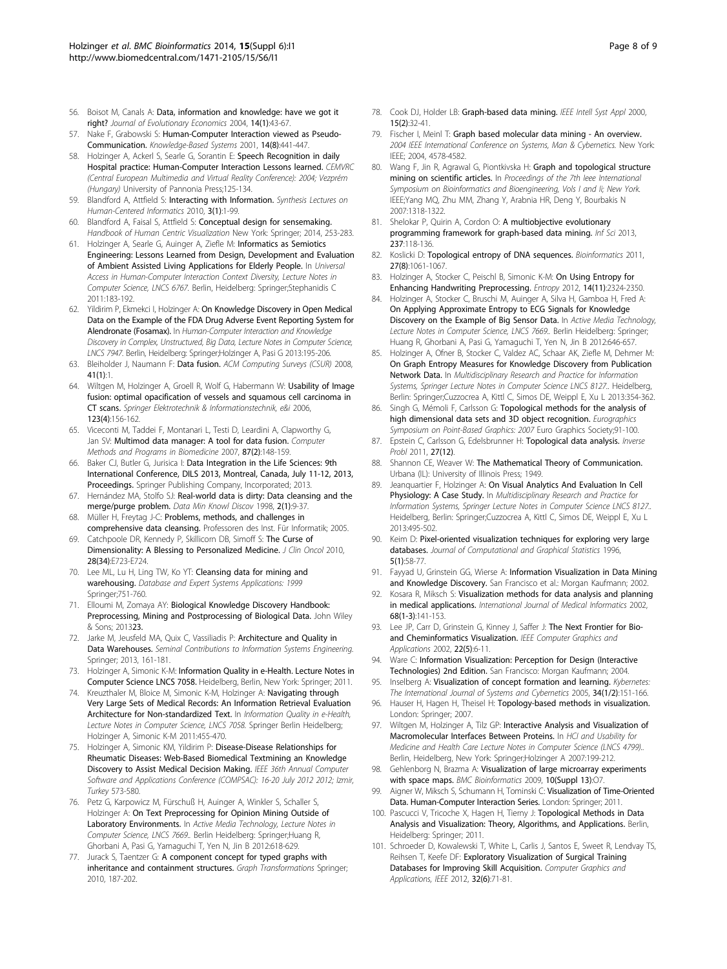- <span id="page-7-0"></span>56. Boisot M, Canals A: Data, information and knowledge: have we got it right? Journal of Evolutionary Economics 2004, 14(1):43-67.
- 57. Nake F, Grabowski S: Human-Computer Interaction viewed as Pseudo-Communication. Knowledge-Based Systems 2001, 14(8):441-447.
- 58. Holzinger A, Ackerl S, Searle G, Sorantin E: Speech Recognition in daily Hospital practice: Human-Computer Interaction Lessons learned. CEMVRC (Central European Multimedia and Virtual Reality Conference): 2004; Vezprém (Hungary) University of Pannonia Press;125-134.
- 59. Blandford A, Attfield S: Interacting with Information. Synthesis Lectures on Human-Centered Informatics 2010, 3(1):1-99.
- 60. Blandford A, Faisal S, Attfield S: Conceptual design for sensemaking. Handbook of Human Centric Visualization New York: Springer; 2014, 253-283.
- 61. Holzinger A, Searle G, Auinger A, Ziefle M: Informatics as Semiotics Engineering: Lessons Learned from Design, Development and Evaluation of Ambient Assisted Living Applications for Elderly People. In Universal Access in Human-Computer Interaction Context Diversity, Lecture Notes in Computer Science, LNCS 6767. Berlin, Heidelberg: Springer;Stephanidis C 2011:183-192.
- 62. Yildirim P, Ekmekci I, Holzinger A: On Knowledge Discovery in Open Medical Data on the Example of the FDA Drug Adverse Event Reporting System for Alendronate (Fosamax). In Human-Computer Interaction and Knowledge Discovery in Complex, Unstructured, Big Data, Lecture Notes in Computer Science, LNCS 7947. Berlin, Heidelberg: Springer;Holzinger A, Pasi G 2013:195-206.
- 63. Bleiholder J, Naumann F: Data fusion. ACM Computing Surveys (CSUR) 2008,  $41(1):1$
- 64. Wiltgen M, Holzinger A, Groell R, Wolf G, Habermann W: Usability of Image fusion: optimal opacification of vessels and squamous cell carcinoma in CT scans. Springer Elektrotechnik & Informationstechnik, e&i 2006, 123(4):156-162.
- 65. Viceconti M, Taddei F, Montanari L, Testi D, Leardini A, Clapworthy G, Jan SV: [Multimod data manager: A tool for data fusion.](http://www.ncbi.nlm.nih.gov/pubmed/17582647?dopt=Abstract) Computer Methods and Programs in Biomedicine 2007, 87(2):148-159.
- 66. Baker CJ, Butler G, Jurisica I: Data Integration in the Life Sciences: 9th International Conference, DILS 2013, Montreal, Canada, July 11-12, 2013, Proceedings. Springer Publishing Company, Incorporated; 2013.
- 67. Hernández MA, Stolfo SJ: Real-world data is dirty: Data cleansing and the merge/purge problem. Data Min Knowl Discov 1998, 2(1):9-37.
- 68. Müller H, Freytag J-C: Problems, methods, and challenges in comprehensive data cleansing. Professoren des Inst. Für Informatik; 2005.
- 69. Catchpoole DR, Kennedy P, Skillicorn DB, Simoff S: [The Curse of](http://www.ncbi.nlm.nih.gov/pubmed/21041706?dopt=Abstract) [Dimensionality: A Blessing to Personalized Medicine.](http://www.ncbi.nlm.nih.gov/pubmed/21041706?dopt=Abstract) J Clin Oncol 2010, 28(34):E723-E724.
- 70. Lee ML, Lu H, Ling TW, Ko YT: Cleansing data for mining and warehousing. Database and Expert Systems Applications: 1999 Springer;751-760.
- 71. Elloumi M, Zomaya AY: Biological Knowledge Discovery Handbook: Preprocessing, Mining and Postprocessing of Biological Data. John Wiley & Sons; 201323.
- 72. Jarke M, Jeusfeld MA, Quix C, Vassiliadis P: Architecture and Quality in Data Warehouses. Seminal Contributions to Information Systems Engineering. Springer; 2013, 161-181.
- 73. Holzinger A, Simonic K-M: Information Quality in e-Health. Lecture Notes in Computer Science LNCS 7058. Heidelberg, Berlin, New York: Springer; 2011.
- 74. Kreuzthaler M, Bloice M, Simonic K-M, Holzinger A: Navigating through Very Large Sets of Medical Records: An Information Retrieval Evaluation Architecture for Non-standardized Text. In Information Quality in e-Health, Lecture Notes in Computer Science, LNCS 7058. Springer Berlin Heidelberg; Holzinger A, Simonic K-M 2011:455-470.
- 75. Holzinger A, Simonic KM, Yildirim P: Disease-Disease Relationships for Rheumatic Diseases: Web-Based Biomedical Textmining an Knowledge Discovery to Assist Medical Decision Making. IEEE 36th Annual Computer Software and Applications Conference (COMPSAC): 16-20 July 2012 2012; Izmir, Turkey 573-580.
- 76. Petz G, Karpowicz M, Fürschuß H, Auinger A, Winkler S, Schaller S, Holzinger A: On Text Preprocessing for Opinion Mining Outside of Laboratory Environments. In Active Media Technology, Lecture Notes in Computer Science, LNCS 7669.. Berlin Heidelberg: Springer;Huang R, Ghorbani A, Pasi G, Yamaguchi T, Yen N, Jin B 2012:618-629.
- 77. Jurack S, Taentzer G: A component concept for typed graphs with inheritance and containment structures. Graph Transformations Springer; 2010, 187-202.
- 78. Cook DJ, Holder LB: Graph-based data mining. IEEE Intell Syst Appl 2000. 15(2):32-41.
- 79. Fischer I, Meinl T: Graph based molecular data mining An overview. 2004 IEEE International Conference on Systems, Man & Cybernetics. New York: IEEE; 2004, 4578-4582.
- 80. Wang F, Jin R, Agrawal G, Piontkivska H: Graph and topological structure mining on scientific articles. In Proceedings of the 7th leee International Symposium on Bioinformatics and Bioengineering, Vols I and Ii; New York. IEEE;Yang MQ, Zhu MM, Zhang Y, Arabnia HR, Deng Y, Bourbakis N 2007:1318-1322.
- 81. Shelokar P, Quirin A, Cordon O: A multiobjective evolutionary programming framework for graph-based data mining. Inf Sci 2013, 237:118-136.
- 82. Koslicki D: [Topological entropy of DNA sequences.](http://www.ncbi.nlm.nih.gov/pubmed/21317142?dopt=Abstract) Bioinformatics 2011, 27(8):1061-1067.
- 83. Holzinger A, Stocker C, Peischl B, Simonic K-M: On Using Entropy for Enhancing Handwriting Preprocessing. Entropy 2012, 14(11):2324-2350.
- 84. Holzinger A, Stocker C, Bruschi M, Auinger A, Silva H, Gamboa H, Fred A: On Applying Approximate Entropy to ECG Signals for Knowledge Discovery on the Example of Big Sensor Data. In Active Media Technology, Lecture Notes in Computer Science, LNCS 7669.. Berlin Heidelberg: Springer; Huang R, Ghorbani A, Pasi G, Yamaguchi T, Yen N, Jin B 2012:646-657.
- 85. Holzinger A, Ofner B, Stocker C, Valdez AC, Schaar AK, Ziefle M, Dehmer M: On Graph Entropy Measures for Knowledge Discovery from Publication Network Data. In Multidisciplinary Research and Practice for Information Systems, Springer Lecture Notes in Computer Science LNCS 8127.. Heidelberg, Berlin: Springer;Cuzzocrea A, Kittl C, Simos DE, Weippl E, Xu L 2013:354-362.
- 86. Singh G, Mémoli F, Carlsson G: Topological methods for the analysis of high dimensional data sets and 3D object recognition. Eurographics Symposium on Point-Based Graphics: 2007 Euro Graphics Society;91-100.
- 87. Epstein C, Carlsson G, Edelsbrunner H: Topological data analysis. Inverse Probl 2011, 27(12).
- 88. Shannon CE, Weaver W: The Mathematical Theory of Communication. Urbana (IL): University of Illinois Press; 1949.
- 89. Jeanquartier F, Holzinger A: On Visual Analytics And Evaluation In Cell Physiology: A Case Study. In Multidisciplinary Research and Practice for Information Systems, Springer Lecture Notes in Computer Science LNCS 8127.. Heidelberg, Berlin: Springer;Cuzzocrea A, Kittl C, Simos DE, Weippl E, Xu L 2013:495-502.
- 90. Keim D: Pixel-oriented visualization techniques for exploring very large databases. Journal of Computational and Graphical Statistics 1996, 5(1):58-77.
- 91. Fayyad U, Grinstein GG, Wierse A: Information Visualization in Data Mining and Knowledge Discovery. San Francisco et al.: Morgan Kaufmann; 2002.
- 92. Kosara R, Miksch S: [Visualization methods for data analysis and planning](http://www.ncbi.nlm.nih.gov/pubmed/12467798?dopt=Abstract) [in medical applications.](http://www.ncbi.nlm.nih.gov/pubmed/12467798?dopt=Abstract) International Journal of Medical Informatics 2002, 68(1-3):141-153.
- 93. Lee JP, Carr D, Grinstein G, Kinney J, Saffer J: The Next Frontier for Bioand Cheminformatics Visualization. IEEE Computer Graphics and Applications 2002, 22(5):6-11.
- 94. Ware C: Information Visualization: Perception for Design (Interactive Technologies) 2nd Edition. San Francisco: Morgan Kaufmann; 2004.
- 95. Inselberg A: Visualization of concept formation and learning. Kybernetes: The International Journal of Systems and Cybernetics 2005, 34(1/2):151-166.
- Hauser H, Hagen H, Theisel H: Topology-based methods in visualization. London: Springer; 2007.
- 97. Wiltgen M, Holzinger A, Tilz GP: Interactive Analysis and Visualization of Macromolecular Interfaces Between Proteins. In HCI and Usability for Medicine and Health Care Lecture Notes in Computer Science (LNCS 4799).. Berlin, Heidelberg, New York: Springer;Holzinger A 2007:199-212.
- 98. Gehlenborg N, Brazma A: Visualization of large microarray experiments with space maps. BMC Bioinformatics 2009, 10(Suppl 13):O7.
- Aigner W, Miksch S, Schumann H, Tominski C: Visualization of Time-Oriented Data. Human-Computer Interaction Series. London: Springer; 2011.
- 100. Pascucci V, Tricoche X, Hagen H, Tierny J: Topological Methods in Data Analysis and Visualization: Theory, Algorithms, and Applications. Berlin, Heidelberg: Springer; 2011.
- 101. Schroeder D, Kowalewski T, White L, Carlis J, Santos E, Sweet R, Lendvay TS, Reihsen T, Keefe DF: Exploratory Visualization of Surgical Training Databases for Improving Skill Acquisition. Computer Graphics and Applications, IEEE 2012, 32(6):71-81.